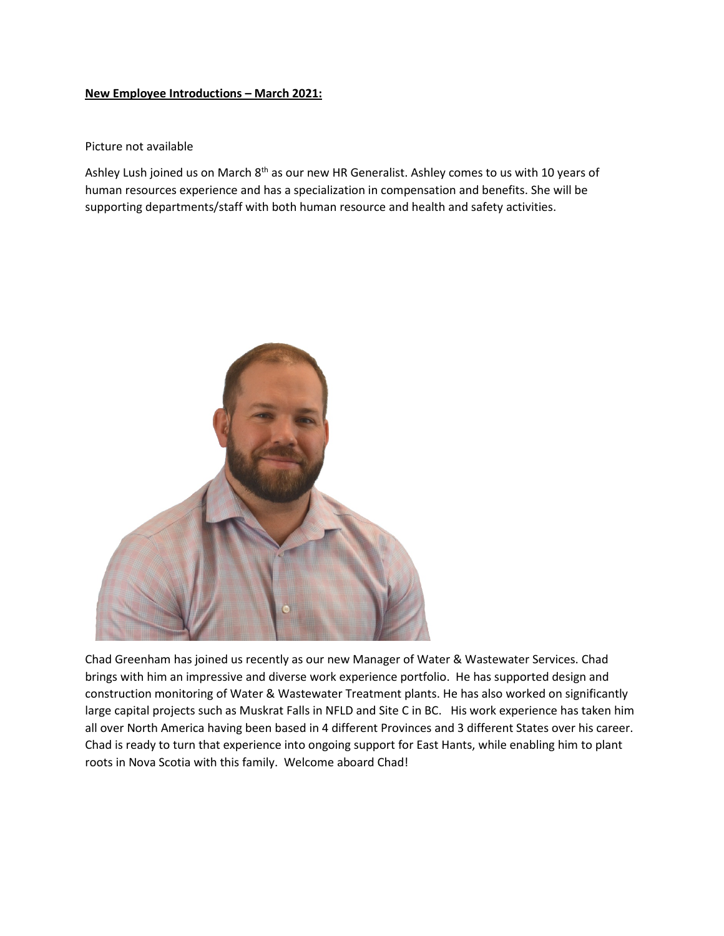## **New Employee Introductions – March 2021:**

## Picture not available

Ashley Lush joined us on March 8<sup>th</sup> as our new HR Generalist. Ashley comes to us with 10 years of human resources experience and has a specialization in compensation and benefits. She will be supporting departments/staff with both human resource and health and safety activities.



Chad Greenham has joined us recently as our new Manager of Water & Wastewater Services. Chad brings with him an impressive and diverse work experience portfolio. He has supported design and construction monitoring of Water & Wastewater Treatment plants. He has also worked on significantly large capital projects such as Muskrat Falls in NFLD and Site C in BC. His work experience has taken him all over North America having been based in 4 different Provinces and 3 different States over his career. Chad is ready to turn that experience into ongoing support for East Hants, while enabling him to plant roots in Nova Scotia with this family. Welcome aboard Chad!